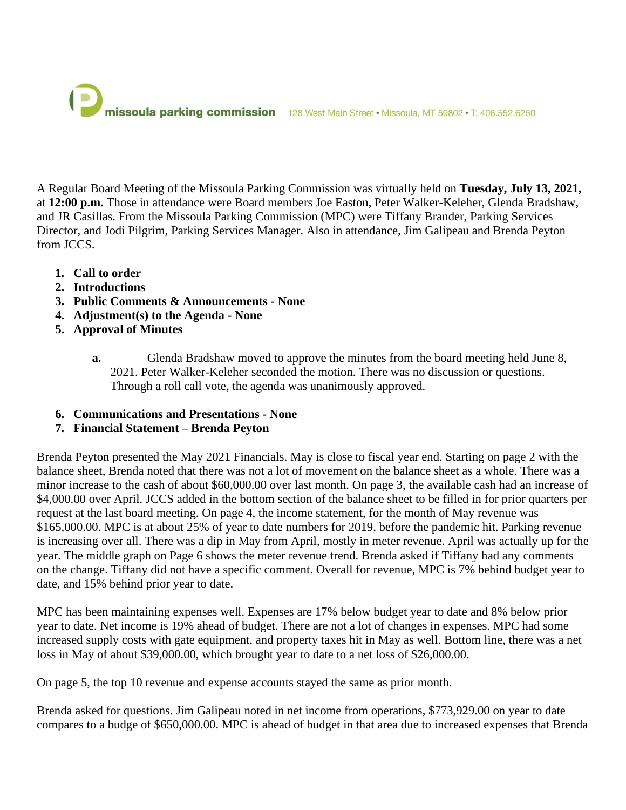

A Regular Board Meeting of the Missoula Parking Commission was virtually held on **Tuesday, July 13, 2021,** at **12:00 p.m.** Those in attendance were Board members Joe Easton, Peter Walker-Keleher, Glenda Bradshaw, and JR Casillas. From the Missoula Parking Commission (MPC) were Tiffany Brander, Parking Services Director, and Jodi Pilgrim, Parking Services Manager. Also in attendance, Jim Galipeau and Brenda Peyton from JCCS.

- **1. Call to order**
- **2. Introductions**
- **3. Public Comments & Announcements - None**
- **4. Adjustment(s) to the Agenda - None**
- **5. Approval of Minutes**
	- **a.** Glenda Bradshaw moved to approve the minutes from the board meeting held June 8, 2021. Peter Walker-Keleher seconded the motion. There was no discussion or questions. Through a roll call vote, the agenda was unanimously approved.
- **6. Communications and Presentations - None**

### **7. Financial Statement – Brenda Peyton**

Brenda Peyton presented the May 2021 Financials. May is close to fiscal year end. Starting on page 2 with the balance sheet, Brenda noted that there was not a lot of movement on the balance sheet as a whole. There was a minor increase to the cash of about \$60,000.00 over last month. On page 3, the available cash had an increase of \$4,000.00 over April. JCCS added in the bottom section of the balance sheet to be filled in for prior quarters per request at the last board meeting. On page 4, the income statement, for the month of May revenue was \$165,000.00. MPC is at about 25% of year to date numbers for 2019, before the pandemic hit. Parking revenue is increasing over all. There was a dip in May from April, mostly in meter revenue. April was actually up for the year. The middle graph on Page 6 shows the meter revenue trend. Brenda asked if Tiffany had any comments on the change. Tiffany did not have a specific comment. Overall for revenue, MPC is 7% behind budget year to date, and 15% behind prior year to date.

MPC has been maintaining expenses well. Expenses are 17% below budget year to date and 8% below prior year to date. Net income is 19% ahead of budget. There are not a lot of changes in expenses. MPC had some increased supply costs with gate equipment, and property taxes hit in May as well. Bottom line, there was a net loss in May of about \$39,000.00, which brought year to date to a net loss of \$26,000.00.

On page 5, the top 10 revenue and expense accounts stayed the same as prior month.

Brenda asked for questions. Jim Galipeau noted in net income from operations, \$773,929.00 on year to date compares to a budge of \$650,000.00. MPC is ahead of budget in that area due to increased expenses that Brenda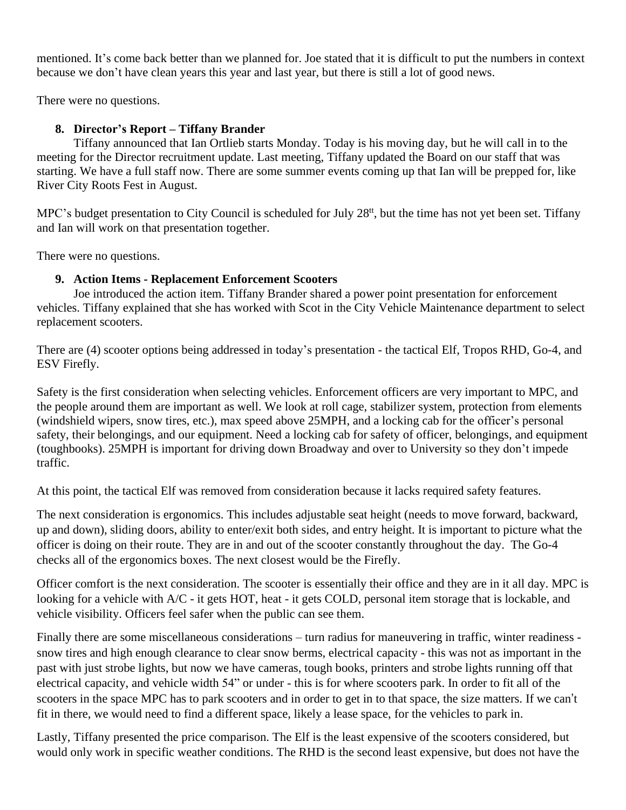mentioned. It's come back better than we planned for. Joe stated that it is difficult to put the numbers in context because we don't have clean years this year and last year, but there is still a lot of good news.

There were no questions.

### **8. Director's Report – Tiffany Brander**

Tiffany announced that Ian Ortlieb starts Monday. Today is his moving day, but he will call in to the meeting for the Director recruitment update. Last meeting, Tiffany updated the Board on our staff that was starting. We have a full staff now. There are some summer events coming up that Ian will be prepped for, like River City Roots Fest in August.

MPC's budget presentation to City Council is scheduled for July 28<sup>tt</sup>, but the time has not yet been set. Tiffany and Ian will work on that presentation together.

There were no questions.

### **9. Action Items - Replacement Enforcement Scooters**

Joe introduced the action item. Tiffany Brander shared a power point presentation for enforcement vehicles. Tiffany explained that she has worked with Scot in the City Vehicle Maintenance department to select replacement scooters.

There are (4) scooter options being addressed in today's presentation - the tactical Elf, Tropos RHD, Go-4, and ESV Firefly.

Safety is the first consideration when selecting vehicles. Enforcement officers are very important to MPC, and the people around them are important as well. We look at roll cage, stabilizer system, protection from elements (windshield wipers, snow tires, etc.), max speed above 25MPH, and a locking cab for the officer's personal safety, their belongings, and our equipment. Need a locking cab for safety of officer, belongings, and equipment (toughbooks). 25MPH is important for driving down Broadway and over to University so they don't impede traffic.

At this point, the tactical Elf was removed from consideration because it lacks required safety features.

The next consideration is ergonomics. This includes adjustable seat height (needs to move forward, backward, up and down), sliding doors, ability to enter/exit both sides, and entry height. It is important to picture what the officer is doing on their route. They are in and out of the scooter constantly throughout the day. The Go-4 checks all of the ergonomics boxes. The next closest would be the Firefly.

Officer comfort is the next consideration. The scooter is essentially their office and they are in it all day. MPC is looking for a vehicle with A/C - it gets HOT, heat - it gets COLD, personal item storage that is lockable, and vehicle visibility. Officers feel safer when the public can see them.

Finally there are some miscellaneous considerations – turn radius for maneuvering in traffic, winter readiness snow tires and high enough clearance to clear snow berms, electrical capacity - this was not as important in the past with just strobe lights, but now we have cameras, tough books, printers and strobe lights running off that electrical capacity, and vehicle width 54" or under - this is for where scooters park. In order to fit all of the scooters in the space MPC has to park scooters and in order to get in to that space, the size matters. If we can't fit in there, we would need to find a different space, likely a lease space, for the vehicles to park in.

Lastly, Tiffany presented the price comparison. The Elf is the least expensive of the scooters considered, but would only work in specific weather conditions. The RHD is the second least expensive, but does not have the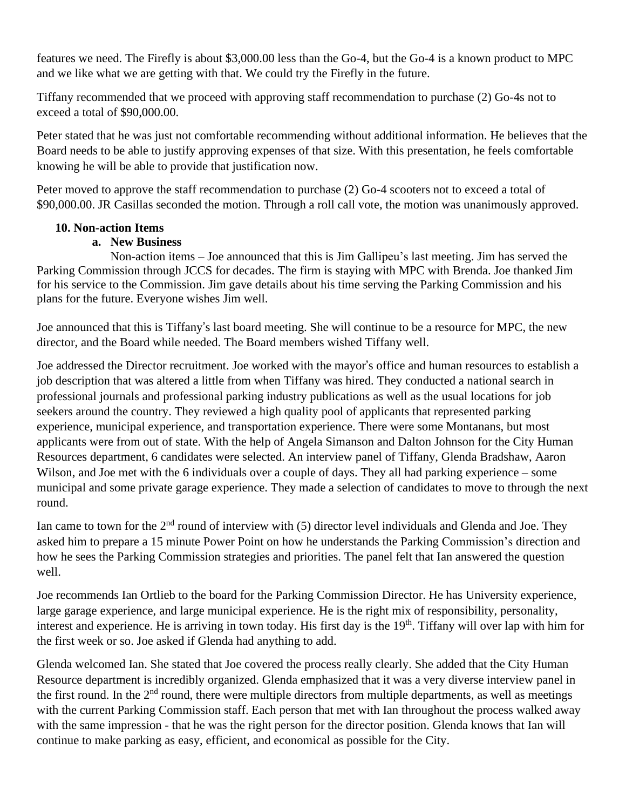features we need. The Firefly is about \$3,000.00 less than the Go-4, but the Go-4 is a known product to MPC and we like what we are getting with that. We could try the Firefly in the future.

Tiffany recommended that we proceed with approving staff recommendation to purchase (2) Go-4s not to exceed a total of \$90,000.00.

Peter stated that he was just not comfortable recommending without additional information. He believes that the Board needs to be able to justify approving expenses of that size. With this presentation, he feels comfortable knowing he will be able to provide that justification now.

Peter moved to approve the staff recommendation to purchase (2) Go-4 scooters not to exceed a total of \$90,000.00. JR Casillas seconded the motion. Through a roll call vote, the motion was unanimously approved.

# **10. Non-action Items**

# **a. New Business**

Non-action items – Joe announced that this is Jim Gallipeu's last meeting. Jim has served the Parking Commission through JCCS for decades. The firm is staying with MPC with Brenda. Joe thanked Jim for his service to the Commission. Jim gave details about his time serving the Parking Commission and his plans for the future. Everyone wishes Jim well.

Joe announced that this is Tiffany's last board meeting. She will continue to be a resource for MPC, the new director, and the Board while needed. The Board members wished Tiffany well.

Joe addressed the Director recruitment. Joe worked with the mayor's office and human resources to establish a job description that was altered a little from when Tiffany was hired. They conducted a national search in professional journals and professional parking industry publications as well as the usual locations for job seekers around the country. They reviewed a high quality pool of applicants that represented parking experience, municipal experience, and transportation experience. There were some Montanans, but most applicants were from out of state. With the help of Angela Simanson and Dalton Johnson for the City Human Resources department, 6 candidates were selected. An interview panel of Tiffany, Glenda Bradshaw, Aaron Wilson, and Joe met with the 6 individuals over a couple of days. They all had parking experience – some municipal and some private garage experience. They made a selection of candidates to move to through the next round.

Ian came to town for the  $2<sup>nd</sup>$  round of interview with (5) director level individuals and Glenda and Joe. They asked him to prepare a 15 minute Power Point on how he understands the Parking Commission's direction and how he sees the Parking Commission strategies and priorities. The panel felt that Ian answered the question well.

Joe recommends Ian Ortlieb to the board for the Parking Commission Director. He has University experience, large garage experience, and large municipal experience. He is the right mix of responsibility, personality, interest and experience. He is arriving in town today. His first day is the 19<sup>th</sup>. Tiffany will over lap with him for the first week or so. Joe asked if Glenda had anything to add.

Glenda welcomed Ian. She stated that Joe covered the process really clearly. She added that the City Human Resource department is incredibly organized. Glenda emphasized that it was a very diverse interview panel in the first round. In the  $2<sup>nd</sup>$  round, there were multiple directors from multiple departments, as well as meetings with the current Parking Commission staff. Each person that met with Ian throughout the process walked away with the same impression - that he was the right person for the director position. Glenda knows that Ian will continue to make parking as easy, efficient, and economical as possible for the City.